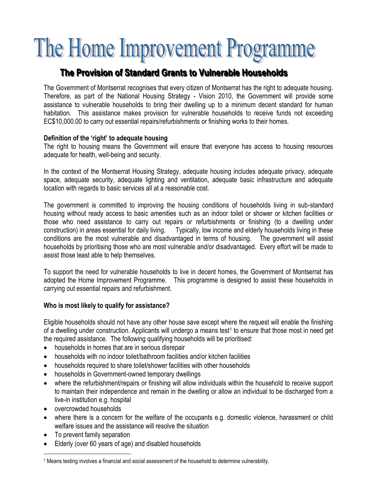# The Home Improvement Programme

## **The Provi i si ion of Standard Grants to Vul lnerabl l e Househol lds**

The Government of Montserrat recognises that every citizen of Montserrat has the right to adequate housing. Therefore, as part of the National Housing Strategy - Vision 2010, the Government will provide some assistance to vulnerable households to bring their dwelling up to a minimum decent standard for human habitation. This assistance makes provision for vulnerable households to receive funds not exceeding EC\$10,000.00 to carry out essential repairs/refurbishments or finishing works to their homes.

#### **Definition of the 'right' to adequate housing**

The right to housing means the Government will ensure that everyone has access to housing resources adequate for health, well-being and security.

In the context of the Montserrat Housing Strategy, adequate housing includes adequate privacy, adequate space, adequate security, adequate lighting and ventilation, adequate basic infrastructure and adequate location with regards to basic services all at a reasonable cost.

The government is committed to improving the housing conditions of households living in sub-standard housing without ready access to basic amenities such as an indoor toilet or shower or kitchen facilities or those who need assistance to carry out repairs or refurbishments or finishing (to a dwelling under construction) in areas essential for daily living. Typically, low income and elderly households living in these conditions are the most vulnerable and disadvantaged in terms of housing. The government will assist households by prioritising those who are most vulnerable and/or disadvantaged. Every effort will be made to assist those least able to help themselves.

To support the need for vulnerable households to live in decent homes, the Government of Montserrat has adopted the Home Improvement Programme. This programme is designed to assist these households in carrying out essential repairs and refurbishment.

#### **Who is most likely to qualify for assistance?**

Eligible households should not have any other house save except where the request will enable the finishing of a dwelling under construction. Applicants will undergo a means test<sup>1</sup> to ensure that those most in need get the required assistance. The following qualifying households will be prioritised:

- households in homes that are in serious disrepair
- households with no indoor toilet/bathroom facilities and/or kitchen facilities
- households required to share toilet/shower facilities with other households
- households in Government-owned temporary dwellings
- where the refurbishment/repairs or finishing will allow individuals within the household to receive support to maintain their independence and remain in the dwelling or allow an individual to be discharged from a live-in institution e.g. hospital
- overcrowded households
- where there is a concern for the welfare of the occupants e.g. domestic violence, harassment or child welfare issues and the assistance will resolve the situation
- To prevent family separation

 $\overline{a}$ 

• Elderly (over 60 years of age) and disabled households

<sup>&</sup>lt;sup>1</sup> Means testing involves a financial and social assessment of the household to determine vulnerability.